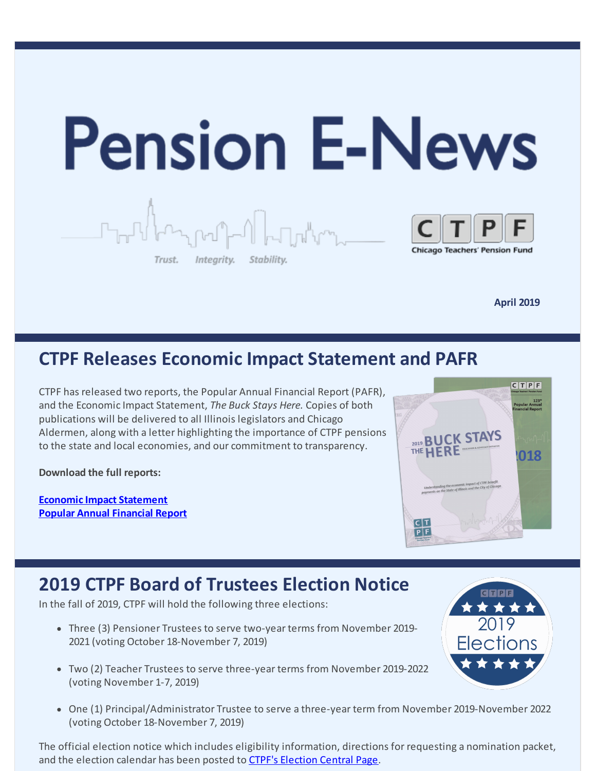

**April 2019**

## **CTPF Releases Economic Impact Statement and PAFR**

CTPF has released two reports, the Popular Annual Financial Report (PAFR), and the Economic Impact Statement, *The Buck Stays Here.* Copies of both publications will be delivered to all Illinois legislators and Chicago Aldermen, along with a letter highlighting the importance of CTPF pensions to the state and local economies, and our commitment to transparency.

**Download the full reports:**

**Economic Impact [Statement](https://www.ctpf.org/sites/main/files/file-attachments/economic_impact_2019_vk3_final.pdf) Popular Annual [Financial](https://www.ctpf.org/sites/main/files/file-attachments/2018_ctpf_pafr_final.pdf) Report**



## **2019 CTPF Board of Trustees Election Notice**

In the fall of 2019, CTPF will hold the following three elections:

- Three (3) Pensioner Trustees to serve two-year terms from November 2019- 2021 (voting October 18-November 7, 2019)
- Two (2) Teacher Trustees to serve three-year terms from November 2019-2022 (voting November 1-7, 2019)
- One (1) Principal/Administrator Trustee to serve a three-year term from November 2019-November 2022 (voting October 18-November 7, 2019)

The official election notice which includes eligibility information, directions for requesting a nomination packet, and the election calendar has been posted to CTPF's [Election](https://www.ctpf.org/2019-election-central) Central Page.

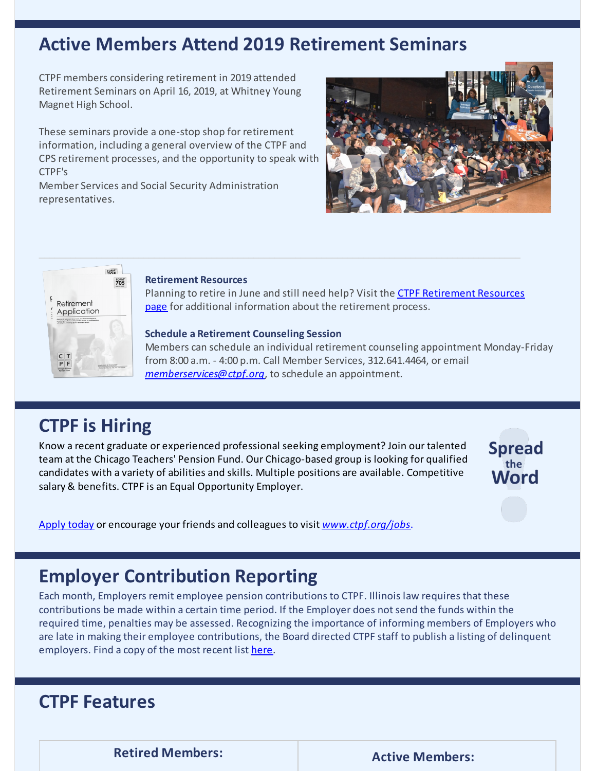## **Active Members Attend 2019 Retirement Seminars**

CTPF members considering retirement in 2019 attended Retirement Seminars on April 16, 2019, at Whitney Young Magnet High School.

These seminars provide a one-stop shop for retirement information, including a general overview of the CTPF and CPS retirement processes, and the opportunity to speak with CTPF's

Member Services and Social Security Administration representatives.





#### **Retirement Resources**

Planning to retire in June and still need help? Visit the CTPF Retirement Resources page for additional [information](https://www.ctpf.org/retirement-resources) about the retirement process.

#### **Schedule a Retirement Counseling Session**

Members can schedule an individual retirement counseling appointment Monday-Friday from 8:00 a.m. - 4:00 p.m. Call Member Services, 312.641.4464, or email *[memberservices@ctpf.org](mailto:memberservices@ctpf.org)*, to schedule an appointment.

#### **CTPF is Hiring**

Know a recent graduate or experienced professional seeking employment? Join our talented team at the Chicago Teachers' Pension Fund. Our Chicago-based group is looking for qualified candidates with a variety of abilities and skills. Multiple positions are available. Competitive salary & benefits. CTPF is an Equal Opportunity Employer.



[Apply](https://bit.ly/2IpJhUF) today or encourage your friends and colleagues to visit *[www.ctpf.org/jobs](http://www.ctpf.org/jobs)*.

## **Employer Contribution Reporting**

Each month, Employers remit employee pension contributions to CTPF. Illinois law requires that these contributions be made within a certain time period. If the Employer does not send the funds within the required time, penalties may be assessed. Recognizing the importance of informing members of Employers who are late in making their employee contributions, the Board directed CTPF staff to publish a listing of delinquent employers. Find a copy of the most recent list [here](https://www.ctpf.org/employer-contribution-reporting).

## **CTPF Features**

**Retired Members: Active Members:**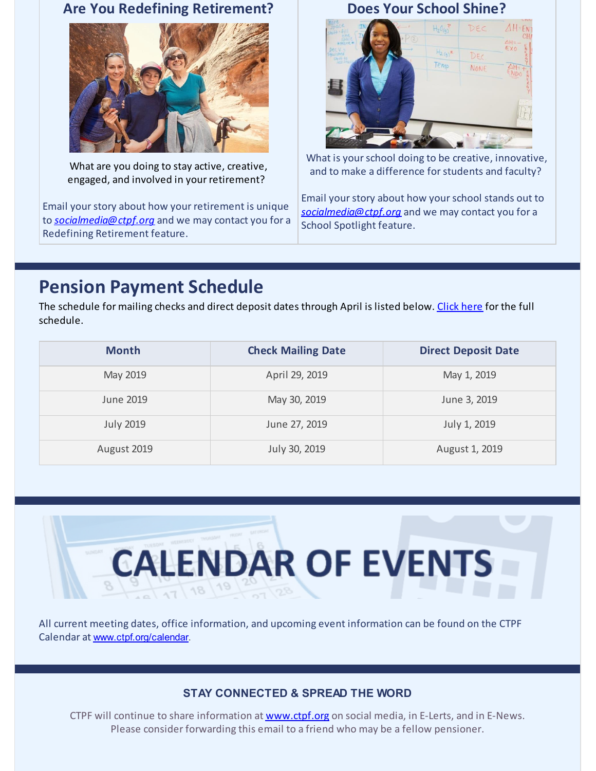#### **Are You Redefining Retirement?**



What are you doing to stay active, creative, engaged, and involved in your retirement?

Email your story about how your retirement is unique to *[socialmedia@ctpf.org](mailto:socialmedia@ctpf.org)* and we may contact you for a Redefining Retirement feature.

**Does Your School Shine?**



What is your school doing to be creative, innovative, and to make a difference for students and faculty?

Email your story about how your school stands out to *[socialmedia@ctpf.org](mailto:socialmedia@ctpf.org)* and we may contact you for a School Spotlight feature.

# **Pension Payment Schedule**

The schedule for mailing checks and direct deposit dates through April is listed below. [Click](https://www.ctpf.org/pension-payments) here for the full schedule.

| <b>Month</b>     | <b>Check Mailing Date</b> | <b>Direct Deposit Date</b> |
|------------------|---------------------------|----------------------------|
| May 2019         | April 29, 2019            | May 1, 2019                |
| June 2019        | May 30, 2019              | June 3, 2019               |
| <b>July 2019</b> | June 27, 2019             | July 1, 2019               |
| August 2019      | July 30, 2019             | August 1, 2019             |



All current meeting dates, office information, and upcoming event information can be found on the CTPF Calendar at [www.ctpf.org/calendar](http://www.ctpf.org/calendar).

#### **STAY CONNECTED & SPREAD THE WORD**

CTPF will continue to share information at **[www.ctpf.org](https://www.ctpf.org/)** on social media, in E-Lerts, and in E-News. Please consider forwarding this email to a friend who may be a fellow pensioner.